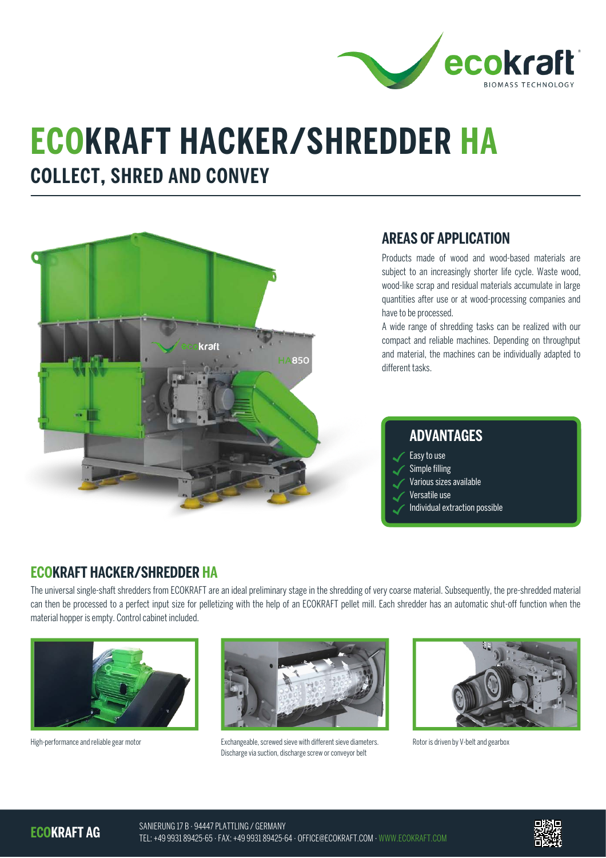

# **ECOKRAFT HACKER/SHREDDER HA COLLECT, SHRED AND CONVEY**



#### **AREAS OF APPLICATION**

Products made of wood and wood-based materials are subject to an increasingly shorter life cycle. Waste wood, wood-like scrap and residual materials accumulate in large quantities after use or at wood-processing companies and have to be processed.

A wide range of shredding tasks can be realized with our compact and reliable machines. Depending on throughput and material, the machines can be individually adapted to different tasks.

### **ADVANTAGES**

- Easy to use Simple filling
- Various sizes available
- Versatile use
- Individual extraction possible

### **ECOKRAFT HACKER/SHREDDER HA**

The universal single-shaft shredders from ECOKRAFT are an ideal preliminary stage in the shredding of very coarse material. Subsequently, the pre-shredded material can then be processed to a perfect input size for pelletizing with the help of an ECOKRAFT pellet mill. Each shredder has an automatic shut-off function when the material hopper is empty. Control cabinet included.





High-performance and reliable gear motor excludional exchangeable, screwed sieve with different sieve diameters. Discharge via suction, discharge screw or conveyor belt



Rotor is driven by V-belt and gearbox

**ECOKRAFT AG**